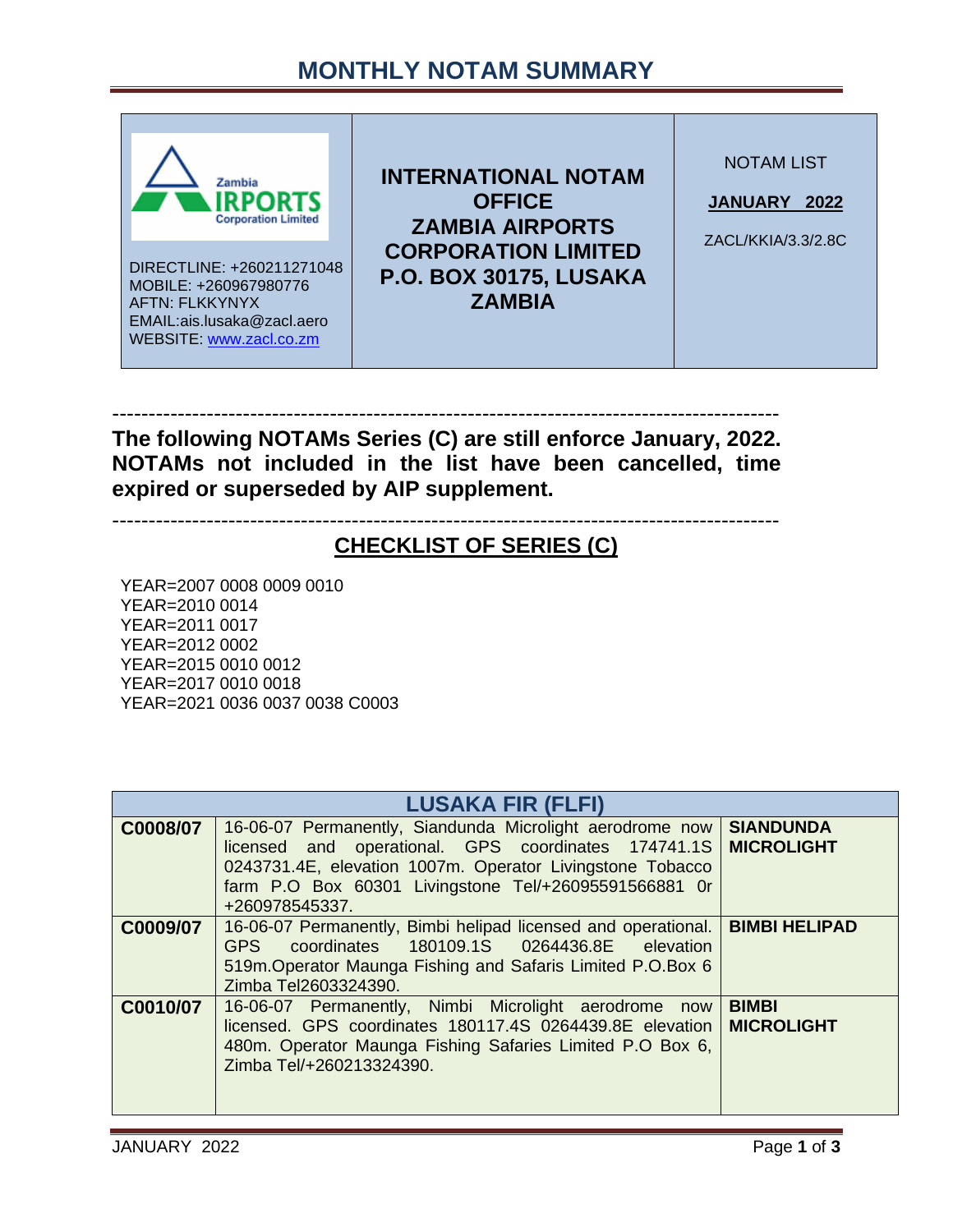## **MONTHLY NOTAM SUMMARY**



-------------------------------------------------------------------------------------------- **The following NOTAMs Series (C) are still enforce January, 2022. NOTAMs not included in the list have been cancelled, time expired or superseded by AIP supplement.**

--------------------------------------------------------------------------------------------

## **CHECKLIST OF SERIES (C)**

YEAR=2007 0008 0009 0010 YEAR=2010 0014 YEAR=2011 0017 YEAR=2012 0002 YEAR=2015 0010 0012 YEAR=2017 0010 0018 YEAR=2021 0036 0037 0038 C0003

| <b>LUSAKA FIR (FLFI)</b> |                                                                                                                                                                                                                                                                    |                  |
|--------------------------|--------------------------------------------------------------------------------------------------------------------------------------------------------------------------------------------------------------------------------------------------------------------|------------------|
| C0008/07                 | 16-06-07 Permanently, Siandunda Microlight aerodrome now<br>licensed and operational. GPS coordinates 174741.1S MICROLIGHT<br>0243731.4E, elevation 1007m. Operator Livingstone Tobacco<br>farm P.O Box 60301 Livingstone Tel/+26095591566881 Or<br>+260978545337. | <b>SIANDUNDA</b> |
| C0009/07                 | 16-06-07 Permanently, Bimbi helipad licensed and operational.   BIMBI HELIPAD<br>GPS coordinates 180109.1S 0264436.8E elevation<br>519m. Operator Maunga Fishing and Safaris Limited P.O.Box 6<br>Zimba Tel2603324390.                                             |                  |
| C0010/07                 | 16-06-07 Permanently, Nimbi Microlight aerodrome now<br>licensed. GPS coordinates 180117.4S 0264439.8E elevation   MICROLIGHT<br>480m. Operator Maunga Fishing Safaries Limited P.O Box 6,<br>Zimba Tel/+260213324390.                                             | <b>BIMBI</b>     |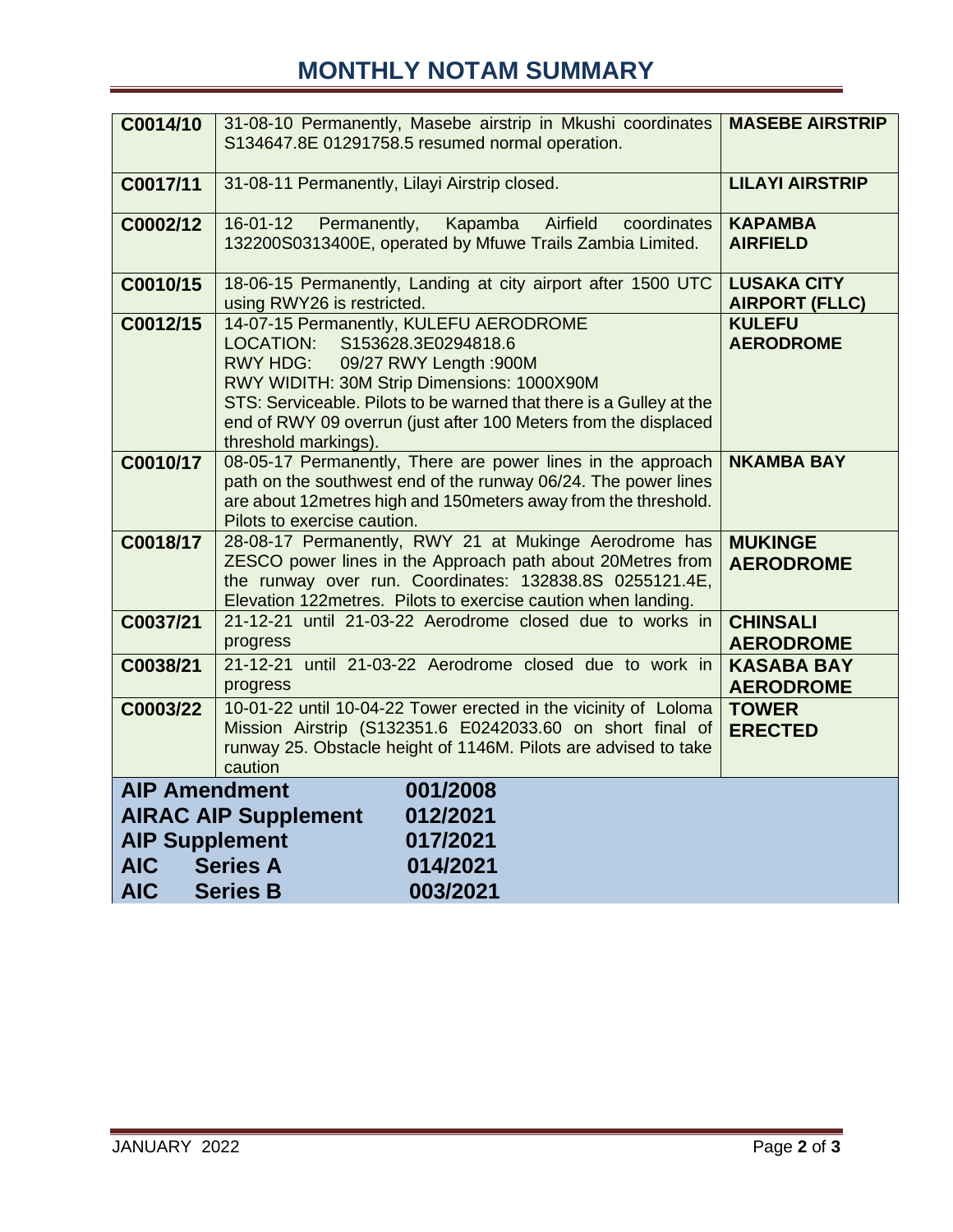## **MONTHLY NOTAM SUMMARY**

| C0014/10                                                                                                                                                                                                   | 31-08-10 Permanently, Masebe airstrip in Mkushi coordinates<br>S134647.8E 01291758.5 resumed normal operation.                                                                                                                                                                                                                          | <b>MASEBE AIRSTRIP</b>                      |
|------------------------------------------------------------------------------------------------------------------------------------------------------------------------------------------------------------|-----------------------------------------------------------------------------------------------------------------------------------------------------------------------------------------------------------------------------------------------------------------------------------------------------------------------------------------|---------------------------------------------|
| C0017/11                                                                                                                                                                                                   | 31-08-11 Permanently, Lilayi Airstrip closed.                                                                                                                                                                                                                                                                                           | <b>LILAYI AIRSTRIP</b>                      |
| C0002/12                                                                                                                                                                                                   | $16 - 01 - 12$<br>Kapamba<br>Airfield<br>Permanently,<br>coordinates<br>132200S0313400E, operated by Mfuwe Trails Zambia Limited.                                                                                                                                                                                                       | <b>KAPAMBA</b><br><b>AIRFIELD</b>           |
| C0010/15                                                                                                                                                                                                   | 18-06-15 Permanently, Landing at city airport after 1500 UTC<br>using RWY26 is restricted.                                                                                                                                                                                                                                              | <b>LUSAKA CITY</b><br><b>AIRPORT (FLLC)</b> |
| C0012/15                                                                                                                                                                                                   | 14-07-15 Permanently, KULEFU AERODROME<br><b>LOCATION:</b><br>S153628.3E0294818.6<br>RWY HDG:<br>09/27 RWY Length :900M<br>RWY WIDITH: 30M Strip Dimensions: 1000X90M<br>STS: Serviceable. Pilots to be warned that there is a Gulley at the<br>end of RWY 09 overrun (just after 100 Meters from the displaced<br>threshold markings). | <b>KULEFU</b><br><b>AERODROME</b>           |
| C0010/17                                                                                                                                                                                                   | 08-05-17 Permanently, There are power lines in the approach<br>path on the southwest end of the runway 06/24. The power lines<br>are about 12 metres high and 150 meters away from the threshold.<br>Pilots to exercise caution.                                                                                                        | <b>NKAMBA BAY</b>                           |
| C0018/17                                                                                                                                                                                                   | 28-08-17 Permanently, RWY 21 at Mukinge Aerodrome has<br>ZESCO power lines in the Approach path about 20Metres from<br>the runway over run. Coordinates: 132838.8S 0255121.4E,<br>Elevation 122metres. Pilots to exercise caution when landing.                                                                                         | <b>MUKINGE</b><br><b>AERODROME</b>          |
| C0037/21                                                                                                                                                                                                   | 21-12-21 until 21-03-22 Aerodrome closed due to works in<br>progress                                                                                                                                                                                                                                                                    | <b>CHINSALI</b><br><b>AERODROME</b>         |
| C0038/21                                                                                                                                                                                                   | 21-12-21 until 21-03-22 Aerodrome closed due to work in<br>progress                                                                                                                                                                                                                                                                     | <b>KASABA BAY</b><br><b>AERODROME</b>       |
| C0003/22                                                                                                                                                                                                   | 10-01-22 until 10-04-22 Tower erected in the vicinity of Loloma<br>Mission Airstrip (S132351.6 E0242033.60 on short final of<br>runway 25. Obstacle height of 1146M. Pilots are advised to take<br>caution                                                                                                                              | <b>TOWER</b><br><b>ERECTED</b>              |
| <b>AIP Amendment</b><br>001/2008<br>012/2021<br><b>AIRAC AIP Supplement</b><br><b>AIP Supplement</b><br>017/2021<br><b>Series A</b><br><b>AIC</b><br>014/2021<br><b>AIC</b><br><b>Series B</b><br>003/2021 |                                                                                                                                                                                                                                                                                                                                         |                                             |